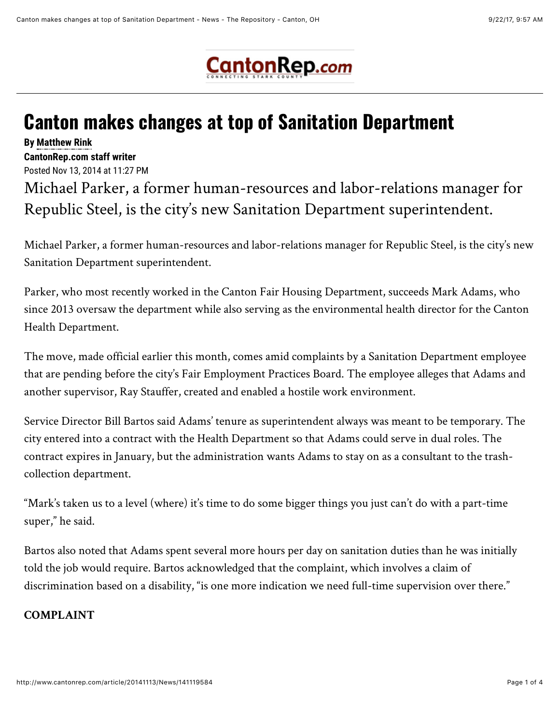

## **Canton makes changes at top of Sanitation Department**

**By [Matthew Rink](mailto:matthew.rink@cantonrep.com) CantonRep.com staff writer** 

Posted Nov 13, 2014 at 11:27 PM

Michael Parker, a former human-resources and labor-relations manager for Republic Steel, is the city's new Sanitation Department superintendent.

Michael Parker, a former human-resources and labor-relations manager for Republic Steel, is the city's new Sanitation Department superintendent.

Parker, who most recently worked in the Canton Fair Housing Department, succeeds Mark Adams, who since 2013 oversaw the department while also serving as the environmental health director for the Canton Health Department.

The move, made official earlier this month, comes amid complaints by a Sanitation Department employee that are pending before the city's Fair Employment Practices Board. The employee alleges that Adams and another supervisor, Ray Stauffer, created and enabled a hostile work environment.

Service Director Bill Bartos said Adams' tenure as superintendent always was meant to be temporary. The city entered into a contract with the Health Department so that Adams could serve in dual roles. The contract expires in January, but the administration wants Adams to stay on as a consultant to the trashcollection department.

"Mark's taken us to a level (where) it's time to do some bigger things you just can't do with a part-time super," he said.

Bartos also noted that Adams spent several more hours per day on sanitation duties than he was initially told the job would require. Bartos acknowledged that the complaint, which involves a claim of discrimination based on a disability, "is one more indication we need full-time supervision over there."

## **COMPLAINT**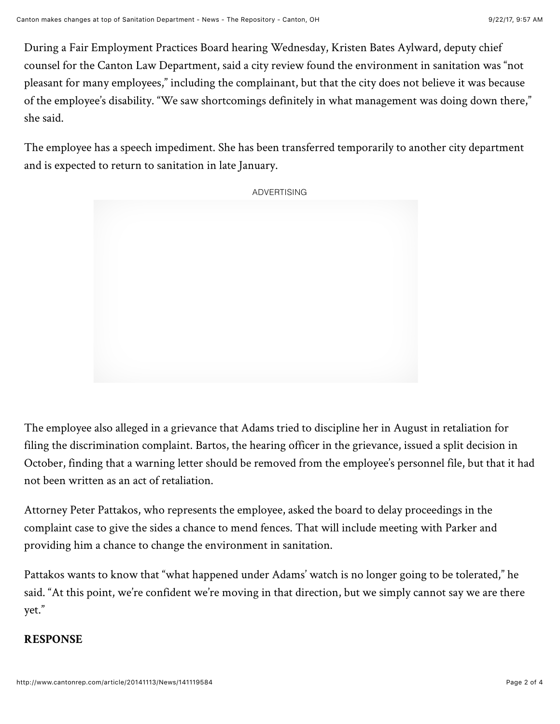During a Fair Employment Practices Board hearing Wednesday, Kristen Bates Aylward, deputy chief counsel for the Canton Law Department, said a city review found the environment in sanitation was "not pleasant for many employees," including the complainant, but that the city does not believe it was because of the employee's disability. "We saw shortcomings definitely in what management was doing down there," she said.

The employee has a speech impediment. She has been transferred temporarily to another city department and is expected to return to sanitation in late January.

ADVERTISING

The employee also alleged in a grievance that Adams tried to discipline her in August in retaliation for filing the discrimination complaint. Bartos, the hearing officer in the grievance, issued a split decision in October, finding that a warning letter should be removed from the employee's personnel file, but that it had not been written as an act of retaliation.

Attorney Peter Pattakos, who represents the employee, asked the board to delay proceedings in the complaint case to give the sides a chance to mend fences. That will include meeting with Parker and providing him a chance to change the environment in sanitation.

Pattakos wants to know that "what happened under Adams' watch is no longer going to be tolerated," he said. "At this point, we're confident we're moving in that direction, but we simply cannot say we are there yet."

## **RESPONSE**